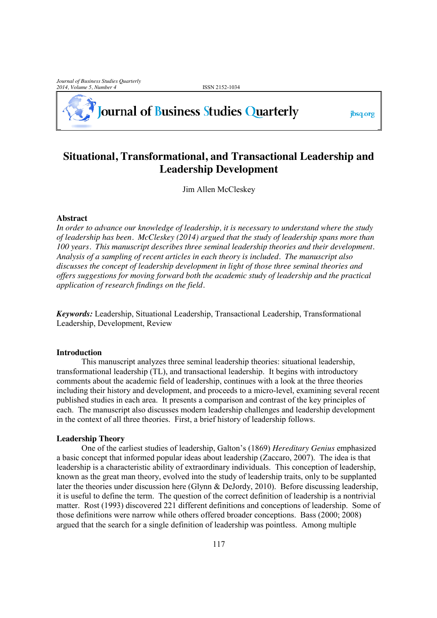# **Journal of Business Studies Quarterly**

jbsq.org

# **Situational, Transformational, and Transactional Leadership and Leadership Development**

Jim Allen McCleskey

# **Abstract**

*In order to advance our knowledge of leadership, it is necessary to understand where the study of leadership has been. McCleskey (2014) argued that the study of leadership spans more than 100 years. This manuscript describes three seminal leadership theories and their development. Analysis of a sampling of recent articles in each theory is included. The manuscript also discusses the concept of leadership development in light of those three seminal theories and offers suggestions for moving forward both the academic study of leadership and the practical application of research findings on the field.*

*Keywords:* Leadership, Situational Leadership, Transactional Leadership, Transformational Leadership, Development, Review

# **Introduction**

This manuscript analyzes three seminal leadership theories: situational leadership, transformational leadership (TL), and transactional leadership. It begins with introductory comments about the academic field of leadership, continues with a look at the three theories including their history and development, and proceeds to a micro-level, examining several recent published studies in each area. It presents a comparison and contrast of the key principles of each. The manuscript also discusses modern leadership challenges and leadership development in the context of all three theories. First, a brief history of leadership follows.

# **Leadership Theory**

One of the earliest studies of leadership, Galton's (1869) *Hereditary Genius* emphasized a basic concept that informed popular ideas about leadership (Zaccaro, 2007). The idea is that leadership is a characteristic ability of extraordinary individuals. This conception of leadership, known as the great man theory, evolved into the study of leadership traits, only to be supplanted later the theories under discussion here (Glynn & DeJordy, 2010). Before discussing leadership, it is useful to define the term. The question of the correct definition of leadership is a nontrivial matter. Rost (1993) discovered 221 different definitions and conceptions of leadership. Some of those definitions were narrow while others offered broader conceptions. Bass (2000; 2008) argued that the search for a single definition of leadership was pointless. Among multiple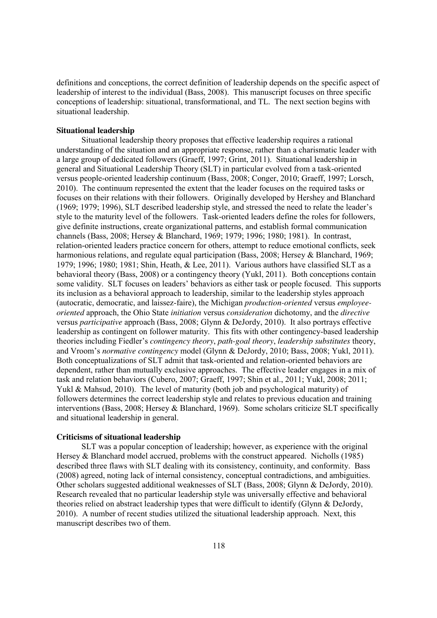definitions and conceptions, the correct definition of leadership depends on the specific aspect of leadership of interest to the individual (Bass, 2008). This manuscript focuses on three specific conceptions of leadership: situational, transformational, and TL. The next section begins with situational leadership.

### **Situational leadership**

Situational leadership theory proposes that effective leadership requires a rational understanding of the situation and an appropriate response, rather than a charismatic leader with a large group of dedicated followers (Graeff, 1997; Grint, 2011). Situational leadership in general and Situational Leadership Theory (SLT) in particular evolved from a task-oriented versus people-oriented leadership continuum (Bass, 2008; Conger, 2010; Graeff, 1997; Lorsch, 2010). The continuum represented the extent that the leader focuses on the required tasks or focuses on their relations with their followers. Originally developed by Hershey and Blanchard (1969; 1979; 1996), SLT described leadership style, and stressed the need to relate the leader's style to the maturity level of the followers. Task-oriented leaders define the roles for followers, give definite instructions, create organizational patterns, and establish formal communication channels (Bass, 2008; Hersey & Blanchard, 1969; 1979; 1996; 1980; 1981). In contrast, relation-oriented leaders practice concern for others, attempt to reduce emotional conflicts, seek harmonious relations, and regulate equal participation (Bass, 2008; Hersey & Blanchard, 1969; 1979; 1996; 1980; 1981; Shin, Heath, & Lee, 2011). Various authors have classified SLT as a behavioral theory (Bass, 2008) or a contingency theory (Yukl, 2011). Both conceptions contain some validity. SLT focuses on leaders' behaviors as either task or people focused. This supports its inclusion as a behavioral approach to leadership, similar to the leadership styles approach (autocratic, democratic, and laissez-faire), the Michigan *production-oriented* versus *employeeoriented* approach, the Ohio State *initiation* versus *consideration* dichotomy, and the *directive* versus *participative* approach (Bass, 2008; Glynn & DeJordy, 2010). It also portrays effective leadership as contingent on follower maturity. This fits with other contingency-based leadership theories including Fiedler's *contingency theory*, *path-goal theory*, *leadership substitutes* theory, and Vroom's *normative contingency* model (Glynn & DeJordy, 2010; Bass, 2008; Yukl, 2011). Both conceptualizations of SLT admit that task-oriented and relation-oriented behaviors are dependent, rather than mutually exclusive approaches. The effective leader engages in a mix of task and relation behaviors (Cubero, 2007; Graeff, 1997; Shin et al., 2011; Yukl, 2008; 2011; Yukl & Mahsud, 2010). The level of maturity (both job and psychological maturity) of followers determines the correct leadership style and relates to previous education and training interventions (Bass, 2008; Hersey & Blanchard, 1969). Some scholars criticize SLT specifically and situational leadership in general.

# **Criticisms of situational leadership**

SLT was a popular conception of leadership; however, as experience with the original Hersey & Blanchard model accrued, problems with the construct appeared. Nicholls (1985) described three flaws with SLT dealing with its consistency, continuity, and conformity. Bass (2008) agreed, noting lack of internal consistency, conceptual contradictions, and ambiguities. Other scholars suggested additional weaknesses of SLT (Bass, 2008; Glynn & DeJordy, 2010). Research revealed that no particular leadership style was universally effective and behavioral theories relied on abstract leadership types that were difficult to identify (Glynn & DeJordy, 2010). A number of recent studies utilized the situational leadership approach. Next, this manuscript describes two of them.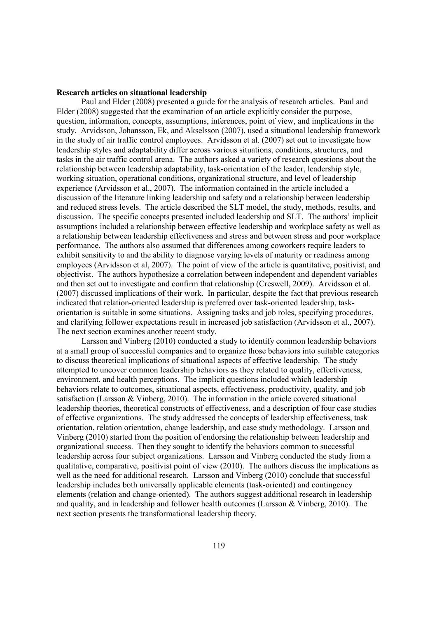### **Research articles on situational leadership**

Paul and Elder (2008) presented a guide for the analysis of research articles. Paul and Elder (2008) suggested that the examination of an article explicitly consider the purpose, question, information, concepts, assumptions, inferences, point of view, and implications in the study. Arvidsson, Johansson, Ek, and Akselsson (2007), used a situational leadership framework in the study of air traffic control employees. Arvidsson et al. (2007) set out to investigate how leadership styles and adaptability differ across various situations, conditions, structures, and tasks in the air traffic control arena. The authors asked a variety of research questions about the relationship between leadership adaptability, task-orientation of the leader, leadership style, working situation, operational conditions, organizational structure, and level of leadership experience (Arvidsson et al., 2007). The information contained in the article included a discussion of the literature linking leadership and safety and a relationship between leadership and reduced stress levels. The article described the SLT model, the study, methods, results, and discussion. The specific concepts presented included leadership and SLT. The authors' implicit assumptions included a relationship between effective leadership and workplace safety as well as a relationship between leadership effectiveness and stress and between stress and poor workplace performance. The authors also assumed that differences among coworkers require leaders to exhibit sensitivity to and the ability to diagnose varying levels of maturity or readiness among employees (Arvidsson et al, 2007). The point of view of the article is quantitative, positivist, and objectivist. The authors hypothesize a correlation between independent and dependent variables and then set out to investigate and confirm that relationship (Creswell, 2009). Arvidsson et al. (2007) discussed implications of their work. In particular, despite the fact that previous research indicated that relation-oriented leadership is preferred over task-oriented leadership, taskorientation is suitable in some situations. Assigning tasks and job roles, specifying procedures, and clarifying follower expectations result in increased job satisfaction (Arvidsson et al., 2007). The next section examines another recent study.

Larsson and Vinberg (2010) conducted a study to identify common leadership behaviors at a small group of successful companies and to organize those behaviors into suitable categories to discuss theoretical implications of situational aspects of effective leadership. The study attempted to uncover common leadership behaviors as they related to quality, effectiveness, environment, and health perceptions. The implicit questions included which leadership behaviors relate to outcomes, situational aspects, effectiveness, productivity, quality, and job satisfaction (Larsson & Vinberg, 2010). The information in the article covered situational leadership theories, theoretical constructs of effectiveness, and a description of four case studies of effective organizations. The study addressed the concepts of leadership effectiveness, task orientation, relation orientation, change leadership, and case study methodology. Larsson and Vinberg (2010) started from the position of endorsing the relationship between leadership and organizational success. Then they sought to identify the behaviors common to successful leadership across four subject organizations. Larsson and Vinberg conducted the study from a qualitative, comparative, positivist point of view (2010). The authors discuss the implications as well as the need for additional research. Larsson and Vinberg (2010) conclude that successful leadership includes both universally applicable elements (task-oriented) and contingency elements (relation and change-oriented). The authors suggest additional research in leadership and quality, and in leadership and follower health outcomes (Larsson & Vinberg, 2010). The next section presents the transformational leadership theory.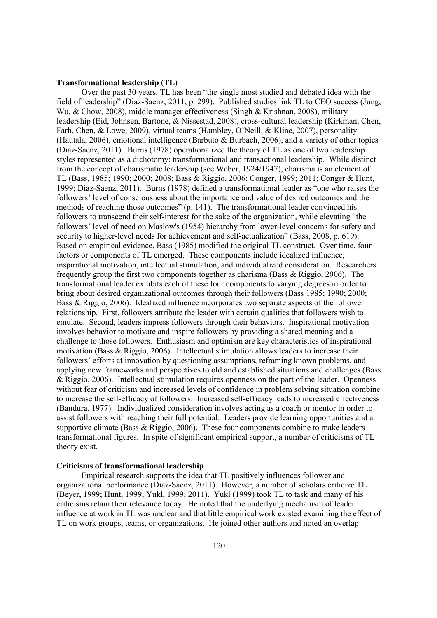#### **Transformational leadership (TL)**

Over the past 30 years, TL has been "the single most studied and debated idea with the field of leadership" (Diaz-Saenz, 2011, p. 299). Published studies link TL to CEO success (Jung, Wu, & Chow, 2008), middle manager effectiveness (Singh & Krishnan, 2008), military leadership (Eid, Johnsen, Bartone, & Nissestad, 2008), cross-cultural leadership (Kirkman, Chen, Farh, Chen, & Lowe, 2009), virtual teams (Hambley, O'Neill, & Kline, 2007), personality (Hautala, 2006), emotional intelligence (Barbuto & Burbach, 2006), and a variety of other topics (Diaz-Saenz, 2011). Burns (1978) operationalized the theory of TL as one of two leadership styles represented as a dichotomy: transformational and transactional leadership. While distinct from the concept of charismatic leadership (see Weber, 1924/1947), charisma is an element of TL (Bass, 1985; 1990; 2000; 2008; Bass & Riggio, 2006; Conger, 1999; 2011; Conger & Hunt, 1999; Diaz-Saenz, 2011). Burns (1978) defined a transformational leader as "one who raises the followers' level of consciousness about the importance and value of desired outcomes and the methods of reaching those outcomes" (p. 141). The transformational leader convinced his followers to transcend their self-interest for the sake of the organization, while elevating "the followers' level of need on Maslow's (1954) hierarchy from lower-level concerns for safety and security to higher-level needs for achievement and self-actualization" (Bass, 2008, p. 619). Based on empirical evidence, Bass (1985) modified the original TL construct. Over time, four factors or components of TL emerged. These components include idealized influence, inspirational motivation, intellectual stimulation, and individualized consideration. Researchers frequently group the first two components together as charisma (Bass & Riggio, 2006). The transformational leader exhibits each of these four components to varying degrees in order to bring about desired organizational outcomes through their followers (Bass 1985; 1990; 2000; Bass & Riggio, 2006). Idealized influence incorporates two separate aspects of the follower relationship. First, followers attribute the leader with certain qualities that followers wish to emulate. Second, leaders impress followers through their behaviors. Inspirational motivation involves behavior to motivate and inspire followers by providing a shared meaning and a challenge to those followers. Enthusiasm and optimism are key characteristics of inspirational motivation (Bass & Riggio, 2006). Intellectual stimulation allows leaders to increase their followers' efforts at innovation by questioning assumptions, reframing known problems, and applying new frameworks and perspectives to old and established situations and challenges (Bass & Riggio, 2006). Intellectual stimulation requires openness on the part of the leader. Openness without fear of criticism and increased levels of confidence in problem solving situation combine to increase the self-efficacy of followers. Increased self-efficacy leads to increased effectiveness (Bandura, 1977). Individualized consideration involves acting as a coach or mentor in order to assist followers with reaching their full potential. Leaders provide learning opportunities and a supportive climate (Bass & Riggio, 2006). These four components combine to make leaders transformational figures. In spite of significant empirical support, a number of criticisms of TL theory exist.

# **Criticisms of transformational leadership**

Empirical research supports the idea that TL positively influences follower and organizational performance (Diaz-Saenz, 2011). However, a number of scholars criticize TL (Beyer, 1999; Hunt, 1999; Yukl, 1999; 2011). Yukl (1999) took TL to task and many of his criticisms retain their relevance today. He noted that the underlying mechanism of leader influence at work in TL was unclear and that little empirical work existed examining the effect of TL on work groups, teams, or organizations. He joined other authors and noted an overlap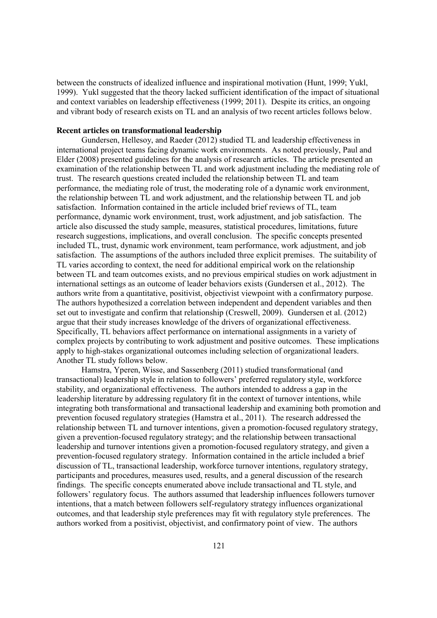between the constructs of idealized influence and inspirational motivation (Hunt, 1999; Yukl, 1999). Yukl suggested that the theory lacked sufficient identification of the impact of situational and context variables on leadership effectiveness (1999; 2011). Despite its critics, an ongoing and vibrant body of research exists on TL and an analysis of two recent articles follows below.

#### **Recent articles on transformational leadership**

Gundersen, Hellesoy, and Raeder (2012) studied TL and leadership effectiveness in international project teams facing dynamic work environments. As noted previously, Paul and Elder (2008) presented guidelines for the analysis of research articles. The article presented an examination of the relationship between TL and work adjustment including the mediating role of trust. The research questions created included the relationship between TL and team performance, the mediating role of trust, the moderating role of a dynamic work environment, the relationship between TL and work adjustment, and the relationship between TL and job satisfaction. Information contained in the article included brief reviews of TL, team performance, dynamic work environment, trust, work adjustment, and job satisfaction. The article also discussed the study sample, measures, statistical procedures, limitations, future research suggestions, implications, and overall conclusion. The specific concepts presented included TL, trust, dynamic work environment, team performance, work adjustment, and job satisfaction. The assumptions of the authors included three explicit premises. The suitability of TL varies according to context, the need for additional empirical work on the relationship between TL and team outcomes exists, and no previous empirical studies on work adjustment in international settings as an outcome of leader behaviors exists (Gundersen et al., 2012). The authors write from a quantitative, positivist, objectivist viewpoint with a confirmatory purpose. The authors hypothesized a correlation between independent and dependent variables and then set out to investigate and confirm that relationship (Creswell, 2009). Gundersen et al. (2012) argue that their study increases knowledge of the drivers of organizational effectiveness. Specifically, TL behaviors affect performance on international assignments in a variety of complex projects by contributing to work adjustment and positive outcomes. These implications apply to high-stakes organizational outcomes including selection of organizational leaders. Another TL study follows below.

Hamstra, Yperen, Wisse, and Sassenberg (2011) studied transformational (and transactional) leadership style in relation to followers' preferred regulatory style, workforce stability, and organizational effectiveness. The authors intended to address a gap in the leadership literature by addressing regulatory fit in the context of turnover intentions, while integrating both transformational and transactional leadership and examining both promotion and prevention focused regulatory strategies (Hamstra et al., 2011). The research addressed the relationship between TL and turnover intentions, given a promotion-focused regulatory strategy, given a prevention-focused regulatory strategy; and the relationship between transactional leadership and turnover intentions given a promotion-focused regulatory strategy, and given a prevention-focused regulatory strategy. Information contained in the article included a brief discussion of TL, transactional leadership, workforce turnover intentions, regulatory strategy, participants and procedures, measures used, results, and a general discussion of the research findings. The specific concepts enumerated above include transactional and TL style, and followers' regulatory focus. The authors assumed that leadership influences followers turnover intentions, that a match between followers self-regulatory strategy influences organizational outcomes, and that leadership style preferences may fit with regulatory style preferences. The authors worked from a positivist, objectivist, and confirmatory point of view. The authors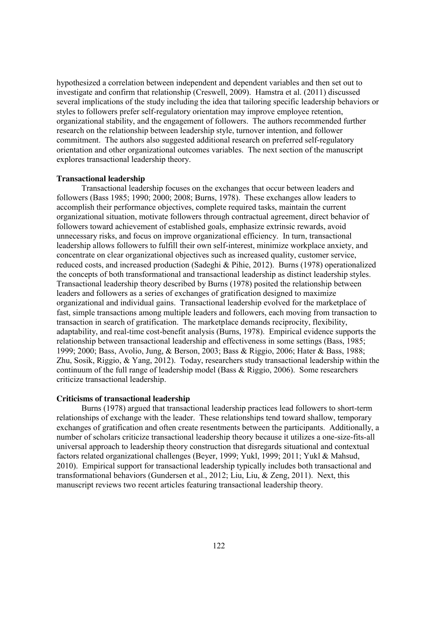hypothesized a correlation between independent and dependent variables and then set out to investigate and confirm that relationship (Creswell, 2009). Hamstra et al. (2011) discussed several implications of the study including the idea that tailoring specific leadership behaviors or styles to followers prefer self-regulatory orientation may improve employee retention, organizational stability, and the engagement of followers. The authors recommended further research on the relationship between leadership style, turnover intention, and follower commitment. The authors also suggested additional research on preferred self-regulatory orientation and other organizational outcomes variables. The next section of the manuscript explores transactional leadership theory.

### **Transactional leadership**

Transactional leadership focuses on the exchanges that occur between leaders and followers (Bass 1985; 1990; 2000; 2008; Burns, 1978). These exchanges allow leaders to accomplish their performance objectives, complete required tasks, maintain the current organizational situation, motivate followers through contractual agreement, direct behavior of followers toward achievement of established goals, emphasize extrinsic rewards, avoid unnecessary risks, and focus on improve organizational efficiency. In turn, transactional leadership allows followers to fulfill their own self-interest, minimize workplace anxiety, and concentrate on clear organizational objectives such as increased quality, customer service, reduced costs, and increased production (Sadeghi & Pihie, 2012). Burns (1978) operationalized the concepts of both transformational and transactional leadership as distinct leadership styles. Transactional leadership theory described by Burns (1978) posited the relationship between leaders and followers as a series of exchanges of gratification designed to maximize organizational and individual gains. Transactional leadership evolved for the marketplace of fast, simple transactions among multiple leaders and followers, each moving from transaction to transaction in search of gratification. The marketplace demands reciprocity, flexibility, adaptability, and real-time cost-benefit analysis (Burns, 1978). Empirical evidence supports the relationship between transactional leadership and effectiveness in some settings (Bass, 1985; 1999; 2000; Bass, Avolio, Jung, & Berson, 2003; Bass & Riggio, 2006; Hater & Bass, 1988; Zhu, Sosik, Riggio, & Yang, 2012). Today, researchers study transactional leadership within the continuum of the full range of leadership model (Bass & Riggio, 2006). Some researchers criticize transactional leadership.

# **Criticisms of transactional leadership**

Burns (1978) argued that transactional leadership practices lead followers to short-term relationships of exchange with the leader. These relationships tend toward shallow, temporary exchanges of gratification and often create resentments between the participants. Additionally, a number of scholars criticize transactional leadership theory because it utilizes a one-size-fits-all universal approach to leadership theory construction that disregards situational and contextual factors related organizational challenges (Beyer, 1999; Yukl, 1999; 2011; Yukl & Mahsud, 2010). Empirical support for transactional leadership typically includes both transactional and transformational behaviors (Gundersen et al., 2012; Liu, Liu, & Zeng, 2011). Next, this manuscript reviews two recent articles featuring transactional leadership theory.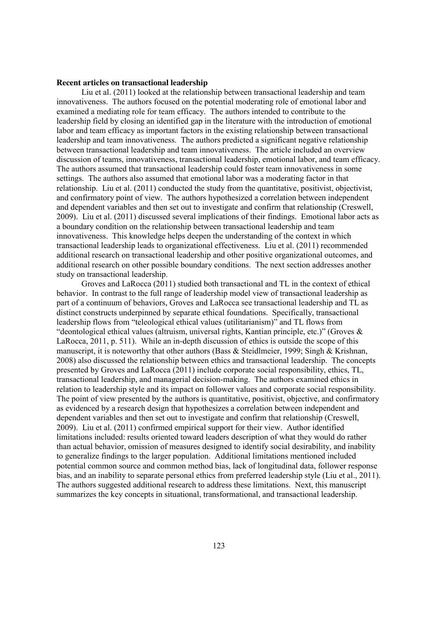### **Recent articles on transactional leadership**

Liu et al. (2011) looked at the relationship between transactional leadership and team innovativeness. The authors focused on the potential moderating role of emotional labor and examined a mediating role for team efficacy. The authors intended to contribute to the leadership field by closing an identified gap in the literature with the introduction of emotional labor and team efficacy as important factors in the existing relationship between transactional leadership and team innovativeness. The authors predicted a significant negative relationship between transactional leadership and team innovativeness. The article included an overview discussion of teams, innovativeness, transactional leadership, emotional labor, and team efficacy. The authors assumed that transactional leadership could foster team innovativeness in some settings. The authors also assumed that emotional labor was a moderating factor in that relationship. Liu et al. (2011) conducted the study from the quantitative, positivist, objectivist, and confirmatory point of view. The authors hypothesized a correlation between independent and dependent variables and then set out to investigate and confirm that relationship (Creswell, 2009). Liu et al. (2011) discussed several implications of their findings. Emotional labor acts as a boundary condition on the relationship between transactional leadership and team innovativeness. This knowledge helps deepen the understanding of the context in which transactional leadership leads to organizational effectiveness. Liu et al. (2011) recommended additional research on transactional leadership and other positive organizational outcomes, and additional research on other possible boundary conditions. The next section addresses another study on transactional leadership.

Groves and LaRocca (2011) studied both transactional and TL in the context of ethical behavior. In contrast to the full range of leadership model view of transactional leadership as part of a continuum of behaviors, Groves and LaRocca see transactional leadership and TL as distinct constructs underpinned by separate ethical foundations. Specifically, transactional leadership flows from "teleological ethical values (utilitarianism)" and TL flows from "deontological ethical values (altruism, universal rights, Kantian principle, etc.)" (Groves & LaRocca, 2011, p. 511). While an in-depth discussion of ethics is outside the scope of this manuscript, it is noteworthy that other authors (Bass & Steidlmeier, 1999; Singh & Krishnan, 2008) also discussed the relationship between ethics and transactional leadership. The concepts presented by Groves and LaRocca (2011) include corporate social responsibility, ethics, TL, transactional leadership, and managerial decision-making. The authors examined ethics in relation to leadership style and its impact on follower values and corporate social responsibility. The point of view presented by the authors is quantitative, positivist, objective, and confirmatory as evidenced by a research design that hypothesizes a correlation between independent and dependent variables and then set out to investigate and confirm that relationship (Creswell, 2009). Liu et al. (2011) confirmed empirical support for their view. Author identified limitations included: results oriented toward leaders description of what they would do rather than actual behavior, omission of measures designed to identify social desirability, and inability to generalize findings to the larger population. Additional limitations mentioned included potential common source and common method bias, lack of longitudinal data, follower response bias, and an inability to separate personal ethics from preferred leadership style (Liu et al., 2011). The authors suggested additional research to address these limitations. Next, this manuscript summarizes the key concepts in situational, transformational, and transactional leadership.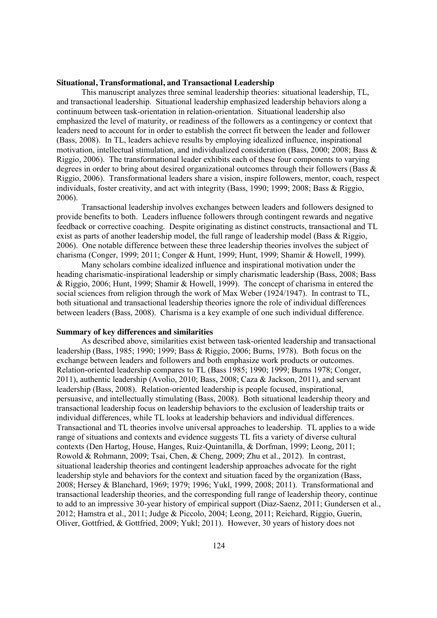# **Situational, Transformational, and Transactional Leadership**

This manuscript analyzes three seminal leadership theories: situational leadership, TL, and transactional leadership. Situational leadership emphasized leadership behaviors along a continuum between task-orientation in relation-orientation. Situational leadership also emphasized the level of maturity, or readiness of the followers as a contingency or context that leaders need to account for in order to establish the correct fit between the leader and follower (Bass, 2008). In TL, leaders achieve results by employing idealized influence, inspirational motivation, intellectual stimulation, and individualized consideration (Bass, 2000; 2008; Bass & Riggio, 2006). The transformational leader exhibits each of these four components to varying degrees in order to bring about desired organizational outcomes through their followers (Bass  $\&$ Riggio, 2006). Transformational leaders share a vision, inspire followers, mentor, coach, respect individuals, foster creativity, and act with integrity (Bass, 1990; 1999; 2008; Bass & Riggio, 2006).

Transactional leadership involves exchanges between leaders and followers designed to provide benefits to both. Leaders influence followers through contingent rewards and negative feedback or corrective coaching. Despite originating as distinct constructs, transactional and TL exist as parts of another leadership model, the full range of leadership model (Bass & Riggio, 2006). One notable difference between these three leadership theories involves the subject of charisma (Conger, 1999; 2011; Conger & Hunt, 1999; Hunt, 1999; Shamir & Howell, 1999).

Many scholars combine idealized influence and inspirational motivation under the heading charismatic-inspirational leadership or simply charismatic leadership (Bass, 2008; Bass & Riggio, 2006; Hunt, 1999; Shamir & Howell, 1999). The concept of charisma in entered the social sciences from religion through the work of Max Weber (1924/1947). In contrast to TL, both situational and transactional leadership theories ignore the role of individual differences between leaders (Bass, 2008). Charisma is a key example of one such individual difference.

### **Summary of key differences and similarities**

As described above, similarities exist between task-oriented leadership and transactional leadership (Bass, 1985; 1990; 1999; Bass & Riggio, 2006; Burns, 1978). Both focus on the exchange between leaders and followers and both emphasize work products or outcomes. Relation-oriented leadership compares to TL (Bass 1985; 1990; 1999; Burns 1978; Conger, 2011), authentic leadership (Avolio, 2010; Bass, 2008; Caza & Jackson, 2011), and servant leadership (Bass, 2008). Relation-oriented leadership is people focused, inspirational, persuasive, and intellectually stimulating (Bass, 2008). Both situational leadership theory and transactional leadership focus on leadership behaviors to the exclusion of leadership traits or individual differences, while TL looks at leadership behaviors and individual differences. Transactional and TL theories involve universal approaches to leadership. TL applies to a wide range of situations and contexts and evidence suggests TL fits a variety of diverse cultural contexts (Den Hartog, House, Hanges, Ruiz-Quintanilla, & Dorfman, 1999; Leong, 2011; Rowold & Rohmann, 2009; Tsai, Chen, & Cheng, 2009; Zhu et al., 2012). In contrast, situational leadership theories and contingent leadership approaches advocate for the right leadership style and behaviors for the context and situation faced by the organization (Bass, 2008; Hersey & Blanchard, 1969; 1979; 1996; Yukl, 1999, 2008; 2011). Transformational and transactional leadership theories, and the corresponding full range of leadership theory, continue to add to an impressive 30-year history of empirical support (Diaz-Saenz, 2011; Gundersen et al., 2012; Hamstra et al., 2011; Judge & Piccolo, 2004; Leong, 2011; Reichard, Riggio, Guerin, Oliver, Gottfried, & Gottfried, 2009; Yukl; 2011). However, 30 years of history does not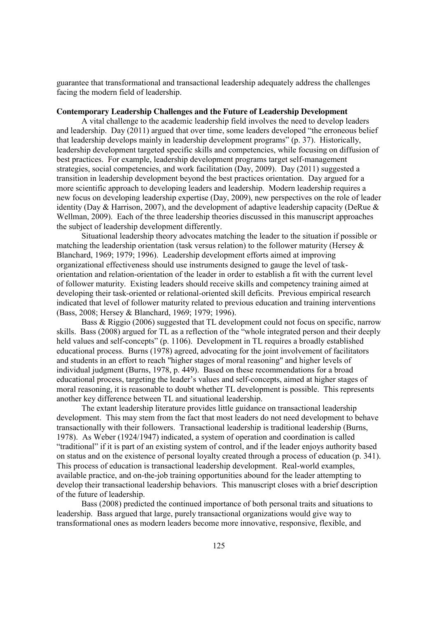guarantee that transformational and transactional leadership adequately address the challenges facing the modern field of leadership.

# **Contemporary Leadership Challenges and the Future of Leadership Development**

A vital challenge to the academic leadership field involves the need to develop leaders and leadership. Day (2011) argued that over time, some leaders developed "the erroneous belief that leadership develops mainly in leadership development programs" (p. 37). Historically, leadership development targeted specific skills and competencies, while focusing on diffusion of best practices. For example, leadership development programs target self-management strategies, social competencies, and work facilitation (Day, 2009). Day (2011) suggested a transition in leadership development beyond the best practices orientation. Day argued for a more scientific approach to developing leaders and leadership. Modern leadership requires a new focus on developing leadership expertise (Day, 2009), new perspectives on the role of leader identity (Day & Harrison, 2007), and the development of adaptive leadership capacity (DeRue & Wellman, 2009). Each of the three leadership theories discussed in this manuscript approaches the subject of leadership development differently.

Situational leadership theory advocates matching the leader to the situation if possible or matching the leadership orientation (task versus relation) to the follower maturity (Hersey  $\&$ Blanchard, 1969; 1979; 1996). Leadership development efforts aimed at improving organizational effectiveness should use instruments designed to gauge the level of taskorientation and relation-orientation of the leader in order to establish a fit with the current level of follower maturity. Existing leaders should receive skills and competency training aimed at developing their task-oriented or relational-oriented skill deficits. Previous empirical research indicated that level of follower maturity related to previous education and training interventions (Bass, 2008; Hersey & Blanchard, 1969; 1979; 1996).

Bass & Riggio (2006) suggested that TL development could not focus on specific, narrow skills. Bass (2008) argued for TL as a reflection of the "whole integrated person and their deeply held values and self-concepts" (p. 1106). Development in TL requires a broadly established educational process. Burns (1978) agreed, advocating for the joint involvement of facilitators and students in an effort to reach "higher stages of moral reasoning" and higher levels of individual judgment (Burns, 1978, p. 449). Based on these recommendations for a broad educational process, targeting the leader's values and self-concepts, aimed at higher stages of moral reasoning, it is reasonable to doubt whether TL development is possible. This represents another key difference between TL and situational leadership.

The extant leadership literature provides little guidance on transactional leadership development. This may stem from the fact that most leaders do not need development to behave transactionally with their followers. Transactional leadership is traditional leadership (Burns, 1978). As Weber (1924/1947) indicated, a system of operation and coordination is called "traditional" if it is part of an existing system of control, and if the leader enjoys authority based on status and on the existence of personal loyalty created through a process of education (p. 341). This process of education is transactional leadership development. Real-world examples, available practice, and on-the-job training opportunities abound for the leader attempting to develop their transactional leadership behaviors. This manuscript closes with a brief description of the future of leadership.

Bass (2008) predicted the continued importance of both personal traits and situations to leadership. Bass argued that large, purely transactional organizations would give way to transformational ones as modern leaders become more innovative, responsive, flexible, and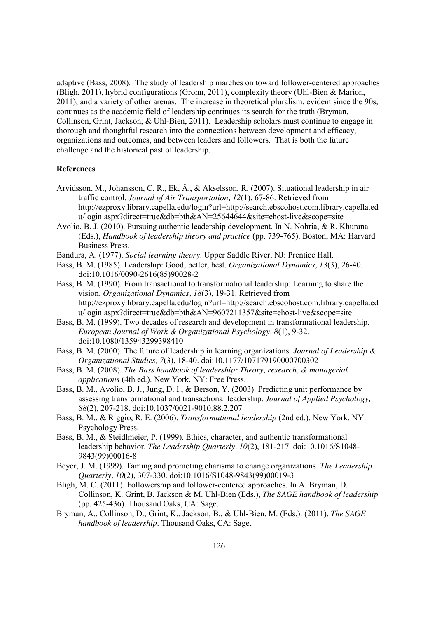adaptive (Bass, 2008). The study of leadership marches on toward follower-centered approaches (Bligh, 2011), hybrid configurations (Gronn, 2011), complexity theory (Uhl-Bien & Marion, 2011), and a variety of other arenas. The increase in theoretical pluralism, evident since the 90s, continues as the academic field of leadership continues its search for the truth (Bryman, Collinson, Grint, Jackson, & Uhl-Bien, 2011). Leadership scholars must continue to engage in thorough and thoughtful research into the connections between development and efficacy, organizations and outcomes, and between leaders and followers. That is both the future challenge and the historical past of leadership.

# **References**

- Arvidsson, M., Johansson, C. R., Ek, Å., & Akselsson, R. (2007). Situational leadership in air traffic control. *Journal of Air Transportation, 12*(1), 67-86. Retrieved from http://ezproxy.library.capella.edu/login?url=http://search.ebscohost.com.library.capella.ed u/login.aspx?direct=true&db=bth&AN=25644644&site=ehost-live&scope=site
- Avolio, B. J. (2010). Pursuing authentic leadership development. In N. Nohria, & R. Khurana (Eds.), *Handbook of leadership theory and practice* (pp. 739-765). Boston, MA: Harvard Business Press.
- Bandura, A. (1977). *Social learning theory*. Upper Saddle River, NJ: Prentice Hall.
- Bass, B. M. (1985). Leadership: Good, better, best. *Organizational Dynamics, 13*(3), 26-40. doi:10.1016/0090-2616(85)90028-2
- Bass, B. M. (1990). From transactional to transformational leadership: Learning to share the vision. *Organizational Dynamics, 18*(3), 19-31. Retrieved from http://ezproxy.library.capella.edu/login?url=http://search.ebscohost.com.library.capella.ed u/login.aspx?direct=true&db=bth&AN=9607211357&site=ehost-live&scope=site
- Bass, B. M. (1999). Two decades of research and development in transformational leadership. *European Journal of Work & Organizational Psychology, 8*(1), 9-32. doi:10.1080/135943299398410
- Bass, B. M. (2000). The future of leadership in learning organizations. *Journal of Leadership & Organizational Studies, 7*(3), 18-40. doi:10.1177/107179190000700302
- Bass, B. M. (2008). *The Bass handbook of leadership: Theory, research, & managerial applications* (4th ed.). New York, NY: Free Press.
- Bass, B. M., Avolio, B. J., Jung, D. I., & Berson, Y. (2003). Predicting unit performance by assessing transformational and transactional leadership. *Journal of Applied Psychology, 88*(2), 207-218. doi:10.1037/0021-9010.88.2.207
- Bass, B. M., & Riggio, R. E. (2006). *Transformational leadership* (2nd ed.). New York, NY: Psychology Press.
- Bass, B. M., & Steidlmeier, P. (1999). Ethics, character, and authentic transformational leadership behavior. *The Leadership Quarterly, 10*(2), 181-217. doi:10.1016/S1048- 9843(99)00016-8
- Beyer, J. M. (1999). Taming and promoting charisma to change organizations. *The Leadership Quarterly, 10*(2), 307-330. doi:10.1016/S1048-9843(99)00019-3
- Bligh, M. C. (2011). Followership and follower-centered approaches. In A. Bryman, D. Collinson, K. Grint, B. Jackson & M. Uhl-Bien (Eds.), *The SAGE handbook of leadership* (pp. 425-436). Thousand Oaks, CA: Sage.
- Bryman, A., Collinson, D., Grint, K., Jackson, B., & Uhl-Bien, M. (Eds.). (2011). *The SAGE handbook of leadership*. Thousand Oaks, CA: Sage.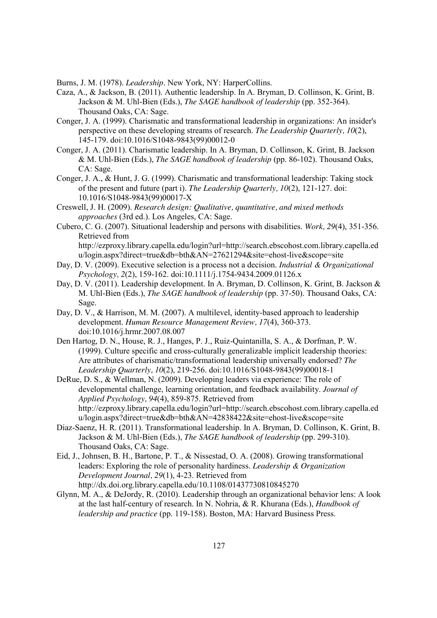Burns, J. M. (1978). *Leadership*. New York, NY: HarperCollins.

- Caza, A., & Jackson, B. (2011). Authentic leadership. In A. Bryman, D. Collinson, K. Grint, B. Jackson & M. Uhl-Bien (Eds.), *The SAGE handbook of leadership* (pp. 352-364). Thousand Oaks, CA: Sage.
- Conger, J. A. (1999). Charismatic and transformational leadership in organizations: An insider's perspective on these developing streams of research. *The Leadership Quarterly, 10*(2), 145-179. doi:10.1016/S1048-9843(99)00012-0
- Conger, J. A. (2011). Charismatic leadership. In A. Bryman, D. Collinson, K. Grint, B. Jackson & M. Uhl-Bien (Eds.), *The SAGE handbook of leadership* (pp. 86-102). Thousand Oaks, CA: Sage.
- Conger, J. A., & Hunt, J. G. (1999). Charismatic and transformational leadership: Taking stock of the present and future (part i). *The Leadership Quarterly, 10*(2), 121-127. doi: 10.1016/S1048-9843(99)00017-X
- Creswell, J. H. (2009). *Research design: Qualitative, quantitative, and mixed methods approaches* (3rd ed.). Los Angeles, CA: Sage.
- Cubero, C. G. (2007). Situational leadership and persons with disabilities. *Work, 29*(4), 351-356. Retrieved from http://ezproxy.library.capella.edu/login?url=http://search.ebscohost.com.library.capella.ed u/login.aspx?direct=true&db=bth&AN=27621294&site=ehost-live&scope=site
- Day, D. V. (2009). Executive selection is a process not a decision. *Industrial & Organizational Psychology, 2*(2), 159-162. doi:10.1111/j.1754-9434.2009.01126.x
- Day, D. V. (2011). Leadership development. In A. Bryman, D. Collinson, K. Grint, B. Jackson & M. Uhl-Bien (Eds.), *The SAGE handbook of leadership* (pp. 37-50). Thousand Oaks, CA: Sage.
- Day, D. V., & Harrison, M. M. (2007). A multilevel, identity-based approach to leadership development. *Human Resource Management Review, 17*(4), 360-373. doi:10.1016/j.hrmr.2007.08.007
- Den Hartog, D. N., House, R. J., Hanges, P. J., Ruiz-Quintanilla, S. A., & Dorfman, P. W. (1999). Culture specific and cross-culturally generalizable implicit leadership theories: Are attributes of charismatic/transformational leadership universally endorsed? *The Leadership Quarterly, 10*(2), 219-256. doi:10.1016/S1048-9843(99)00018-1
- DeRue, D. S., & Wellman, N. (2009). Developing leaders via experience: The role of developmental challenge, learning orientation, and feedback availability. *Journal of Applied Psychology, 94*(4), 859-875. Retrieved from http://ezproxy.library.capella.edu/login?url=http://search.ebscohost.com.library.capella.ed u/login.aspx?direct=true&db=bth&AN=42838422&site=ehost-live&scope=site
- Diaz-Saenz, H. R. (2011). Transformational leadership. In A. Bryman, D. Collinson, K. Grint, B. Jackson & M. Uhl-Bien (Eds.), *The SAGE handbook of leadership* (pp. 299-310). Thousand Oaks, CA: Sage.
- Eid, J., Johnsen, B. H., Bartone, P. T., & Nissestad, O. A. (2008). Growing transformational leaders: Exploring the role of personality hardiness. *Leadership & Organization Development Journal, 29*(1), 4-23. Retrieved from http://dx.doi.org.library.capella.edu/10.1108/01437730810845270
- Glynn, M. A., & DeJordy, R. (2010). Leadership through an organizational behavior lens: A look at the last half-century of research. In N. Nohria, & R. Khurana (Eds.), *Handbook of leadership and practice* (pp. 119-158). Boston, MA: Harvard Business Press.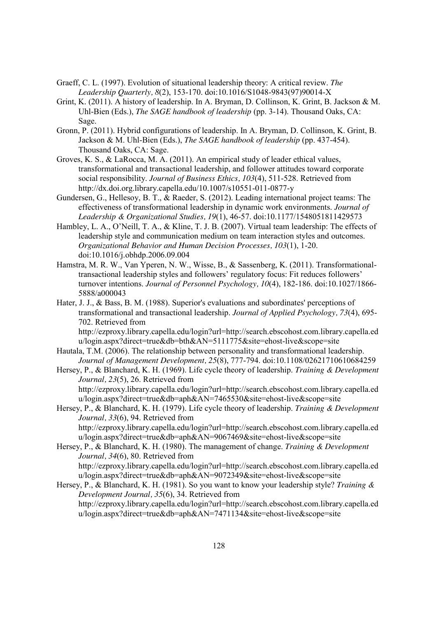- Graeff, C. L. (1997). Evolution of situational leadership theory: A critical review. *The Leadership Quarterly, 8*(2), 153-170. doi:10.1016/S1048-9843(97)90014-X
- Grint, K. (2011). A history of leadership. In A. Bryman, D. Collinson, K. Grint, B. Jackson & M. Uhl-Bien (Eds.), *The SAGE handbook of leadership* (pp. 3-14). Thousand Oaks, CA: Sage.
- Gronn, P. (2011). Hybrid configurations of leadership. In A. Bryman, D. Collinson, K. Grint, B. Jackson & M. Uhl-Bien (Eds.), *The SAGE handbook of leadership* (pp. 437-454). Thousand Oaks, CA: Sage.
- Groves, K. S., & LaRocca, M. A. (2011). An empirical study of leader ethical values, transformational and transactional leadership, and follower attitudes toward corporate social responsibility. *Journal of Business Ethics, 103*(4), 511-528. Retrieved from http://dx.doi.org.library.capella.edu/10.1007/s10551-011-0877-y
- Gundersen, G., Hellesoy, B. T., & Raeder, S. (2012). Leading international project teams: The effectiveness of transformational leadership in dynamic work environments. *Journal of Leadership & Organizational Studies, 19*(1), 46-57. doi:10.1177/1548051811429573
- Hambley, L. A., O'Neill, T. A., & Kline, T. J. B. (2007). Virtual team leadership: The effects of leadership style and communication medium on team interaction styles and outcomes. *Organizational Behavior and Human Decision Processes, 103*(1), 1-20. doi:10.1016/j.obhdp.2006.09.004
- Hamstra, M. R. W., Van Yperen, N. W., Wisse, B., & Sassenberg, K. (2011). Transformationaltransactional leadership styles and followers' regulatory focus: Fit reduces followers' turnover intentions. *Journal of Personnel Psychology, 10*(4), 182-186. doi:10.1027/1866- 5888/a000043
- Hater, J. J., & Bass, B. M. (1988). Superior's evaluations and subordinates' perceptions of transformational and transactional leadership. *Journal of Applied Psychology, 73*(4), 695- 702. Retrieved from

http://ezproxy.library.capella.edu/login?url=http://search.ebscohost.com.library.capella.ed u/login.aspx?direct=true&db=bth&AN=5111775&site=ehost-live&scope=site

- Hautala, T.M. (2006). The relationship between personality and transformational leadership. *Journal of Management Development, 25*(8), 777-794. doi:10.1108/02621710610684259
- Hersey, P., & Blanchard, K. H. (1969). Life cycle theory of leadership. *Training & Development Journal, 23*(5), 26. Retrieved from http://ezproxy.library.capella.edu/login?url=http://search.ebscohost.com.library.capella.ed u/login.aspx?direct=true&db=aph&AN=7465530&site=ehost-live&scope=site
- Hersey, P., & Blanchard, K. H. (1979). Life cycle theory of leadership. *Training & Development Journal, 33*(6), 94. Retrieved from http://ezproxy.library.capella.edu/login?url=http://search.ebscohost.com.library.capella.ed u/login.aspx?direct=true&db=aph&AN=9067469&site=ehost-live&scope=site
- Hersey, P., & Blanchard, K. H. (1980). The management of change. *Training & Development Journal, 34*(6), 80. Retrieved from http://ezproxy.library.capella.edu/login?url=http://search.ebscohost.com.library.capella.ed u/login.aspx?direct=true&db=aph&AN=9072349&site=ehost-live&scope=site
- Hersey, P., & Blanchard, K. H. (1981). So you want to know your leadership style? *Training & Development Journal, 35*(6), 34. Retrieved from http://ezproxy.library.capella.edu/login?url=http://search.ebscohost.com.library.capella.ed u/login.aspx?direct=true&db=aph&AN=7471134&site=ehost-live&scope=site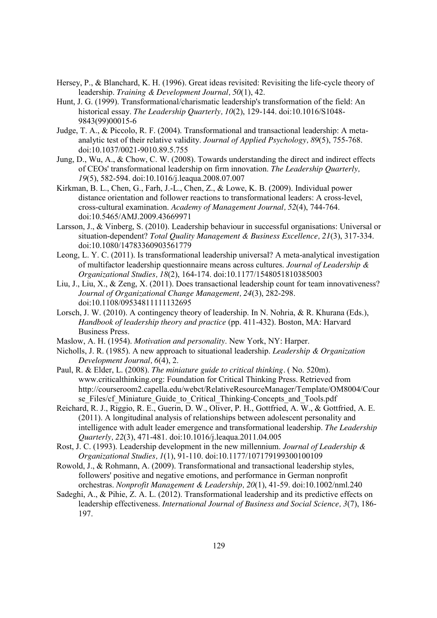- Hersey, P., & Blanchard, K. H. (1996). Great ideas revisited: Revisiting the life-cycle theory of leadership. *Training & Development Journal, 50*(1), 42.
- Hunt, J. G. (1999). Transformational/charismatic leadership's transformation of the field: An historical essay. *The Leadership Quarterly, 10*(2), 129-144. doi:10.1016/S1048- 9843(99)00015-6
- Judge, T. A., & Piccolo, R. F. (2004). Transformational and transactional leadership: A metaanalytic test of their relative validity. *Journal of Applied Psychology, 89*(5), 755-768. doi:10.1037/0021-9010.89.5.755
- Jung, D., Wu, A., & Chow, C. W. (2008). Towards understanding the direct and indirect effects of CEOs' transformational leadership on firm innovation. *The Leadership Quarterly, 19*(5), 582-594. doi:10.1016/j.leaqua.2008.07.007
- Kirkman, B. L., Chen, G., Farh, J.-L., Chen, Z., & Lowe, K. B. (2009). Individual power distance orientation and follower reactions to transformational leaders: A cross-level, cross-cultural examination. *Academy of Management Journal, 52*(4), 744-764. doi:10.5465/AMJ.2009.43669971
- Larsson, J., & Vinberg, S. (2010). Leadership behaviour in successful organisations: Universal or situation-dependent? *Total Quality Management & Business Excellence, 21*(3), 317-334. doi:10.1080/14783360903561779
- Leong, L. Y. C. (2011). Is transformational leadership universal? A meta-analytical investigation of multifactor leadership questionnaire means across cultures. *Journal of Leadership & Organizational Studies, 18*(2), 164-174. doi:10.1177/1548051810385003
- Liu, J., Liu, X., & Zeng, X. (2011). Does transactional leadership count for team innovativeness? *Journal of Organizational Change Management, 24*(3), 282-298. doi:10.1108/09534811111132695
- Lorsch, J. W. (2010). A contingency theory of leadership. In N. Nohria, & R. Khurana (Eds.), *Handbook of leadership theory and practice* (pp. 411-432). Boston, MA: Harvard Business Press.
- Maslow, A. H. (1954). *Motivation and personality*. New York, NY: Harper.
- Nicholls, J. R. (1985). A new approach to situational leadership. *Leadership & Organization Development Journal, 6*(4), 2.
- Paul, R. & Elder, L. (2008). *The miniature guide to critical thinking.* ( No. 520m). www.criticalthinking.org: Foundation for Critical Thinking Press. Retrieved from http://courseroom2.capella.edu/webct/RelativeResourceManager/Template/OM8004/Cour se Files/cf Miniature Guide to Critical Thinking-Concepts and Tools.pdf
- Reichard, R. J., Riggio, R. E., Guerin, D. W., Oliver, P. H., Gottfried, A. W., & Gottfried, A. E. (2011). A longitudinal analysis of relationships between adolescent personality and intelligence with adult leader emergence and transformational leadership. *The Leadership Quarterly, 22*(3), 471-481. doi:10.1016/j.leaqua.2011.04.005
- Rost, J. C. (1993). Leadership development in the new millennium. *Journal of Leadership & Organizational Studies, 1*(1), 91-110. doi:10.1177/107179199300100109
- Rowold, J., & Rohmann, A. (2009). Transformational and transactional leadership styles, followers' positive and negative emotions, and performance in German nonprofit orchestras. *Nonprofit Management & Leadership, 20*(1), 41-59. doi:10.1002/nml.240
- Sadeghi, A., & Pihie, Z. A. L. (2012). Transformational leadership and its predictive effects on leadership effectiveness. *International Journal of Business and Social Science, 3*(7), 186- 197.